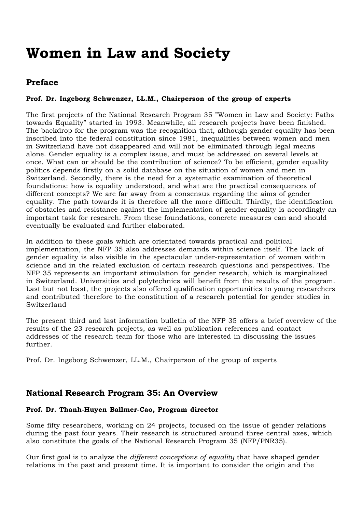# **Women in Law and Society**

# **Preface**

#### **Prof. Dr. Ingeborg Schwenzer, LL.M., Chairperson of the group of experts**

The first projects of the National Research Program 35 "Women in Law and Society: Paths towards Equality" started in 1993. Meanwhile, all research projects have been finished. The backdrop for the program was the recognition that, although gender equality has been inscribed into the federal constitution since 1981, inequalities between women and men in Switzerland have not disappeared and will not be eliminated through legal means alone. Gender equality is a complex issue, and must be addressed on several levels at once. What can or should be the contribution of science? To be efficient, gender equality politics depends firstly on a solid database on the situation of women and men in Switzerland. Secondly, there is the need for a systematic examination of theoretical foundations: how is equality understood, and what are the practical consequences of different concepts? We are far away from a consensus regarding the aims of gender equality. The path towards it is therefore all the more difficult. Thirdly, the identification of obstacles and resistance against the implementation of gender equality is accordingly an important task for research. From these foundations, concrete measures can and should eventually be evaluated and further elaborated.

In addition to these goals which are orientated towards practical and political implementation, the NFP 35 also addresses demands within science itself. The lack of gender equality is also visible in the spectacular under-representation of women within science and in the related exclusion of certain research questions and perspectives. The NFP 35 represents an important stimulation for gender research, which is marginalised in Switzerland. Universities and polytechnics will benefit from the results of the program. Last but not least, the projects also offered qualification opportunities to young researchers and contributed therefore to the constitution of a research potential for gender studies in Switzerland

The present third and last information bulletin of the NFP 35 offers a brief overview of the results of the 23 research projects, as well as publication references and contact addresses of the research team for those who are interested in discussing the issues further.

Prof. Dr. Ingeborg Schwenzer, LL.M., Chairperson of the group of experts

### **National Research Program 35: An Overview**

#### **Prof. Dr. Thanh-Huyen Ballmer-Cao, Program director**

Some fifty researchers, working on 24 projects, focused on the issue of gender relations during the past four years. Their research is structured around three central axes, which also constitute the goals of the National Research Program 35 (NFP/PNR35).

Our first goal is to analyze the *different conceptions of equality* that have shaped gender relations in the past and present time. It is important to consider the origin and the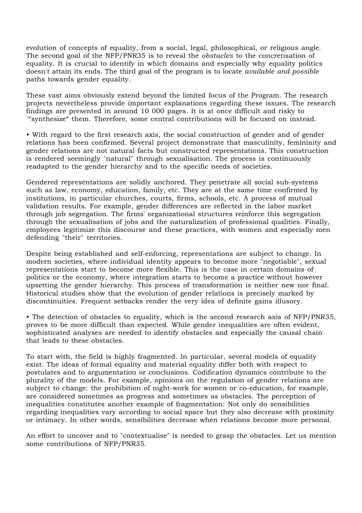evolution of concepts of equality, from a social, legal, philosophical, or religious angle. The second goal of the NFP/PNR35 is to reveal the *obstacles* to the concretisation of equality. It is crucial to identify in which domains and especially why equality politics doesn't attain its ends. The third goal of the program is to locate *available and possible* paths towards gender equality.

These vast aims obviously extend beyond the limited focus of the Program. The research projects nevertheless provide important explanations regarding these issues. The research findings are presented in around 10 000 pages. It is at once difficult and risky to ´"synthesize" them. Therefore, some central contributions will be focused on instead.

• With regard to the first research axis, the social construction of gender and of gender relations has been confirmed. Several project demonstrate that masculinity, femininity and gender relations are not natural facts but constructed representations. This construction is rendered seemingly "natural" through sexualisation. The process is continuously readapted to the gender hierarchy and to the specific needs of societies.

Gendered representations are solidly anchored. They penetrate all social sub-systems such as law, economy, education, family, etc. They are at the same time confirmed by institutions, in particular churches, courts, firms, schools, etc. A process of mutual validation results. For example, gender differences are reflected in the labor market through job segregation. The firms' organizational structures reinforce this segregation through the sexualisation of jobs and the naturalization of professional qualities. Finally, employees legitimize this discourse and these practices, with women and especially men defending "their" territories.

Despite being established and self-enforcing, representations are subject to change. In modern societies, where individual identity appears to become more "negotiable", sexual representations start to become more flexible. This is the case in certain domains of politics or the economy, where integration starts to become a practice without however upsetting the gender hierarchy. This process of transformation is neither new nor final. Historical studies show that the evolution of gender relations is precisely marked by discontinuities. Frequent setbacks render the very idea of definite gains illusory.

• The detection of obstacles to equality, which is the second research axis of NFP/PNR35, proves to be more difficult than expected. While gender inequalities are often evident, sophisticated analyses are needed to identify obstacles and especially the causal chain that leads to these obstacles.

To start with, the field is highly fragmented. In particular, several models of equality exist. The ideas of formal equality and material equality differ both with respect to postulates and to argumentation or conclusions. Codification dynamics contribute to the plurality of the models. For example, opinions on the regulation of gender relations are subject to change: the prohibition of night-work for women or co-education, for example, are considered sometimes as progress and sometimes as obstacles. The perception of inequalities constitutes another example of fragmentation: Not only do sensibilities regarding inequalities vary according to social space but they also decrease with proximity or intimacy. In other words, sensibilities decrease when relations become more personal.

An effort to uncover and to "contextualise" is needed to grasp the obstacles. Let us mention some contributions of NFP/PNR35.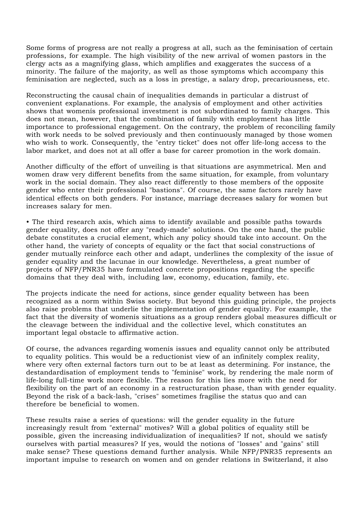Some forms of progress are not really a progress at all, such as the feminisation of certain professions, for example. The high visibility of the new arrival of women pastors in the clergy acts as a magnifying glass, which amplifies and exaggerates the success of a minority. The failure of the majority, as well as those symptoms which accompany this feminisation are neglected, such as a loss in prestige, a salary drop, precariousness, etc.

Reconstructing the causal chain of inequalities demands in particular a distrust of convenient explanations. For example, the analysis of employment and other activities shows that womenís professional investment is not subordinated to family charges. This does not mean, however, that the combination of family with employment has little importance to professional engagement. On the contrary, the problem of reconciling family with work needs to be solved previously and then continuously managed by those women who wish to work. Consequently, the "entry ticket" does not offer life-long access to the labor market, and does not at all offer a base for career promotion in the work domain.

Another difficulty of the effort of unveiling is that situations are asymmetrical. Men and women draw very different benefits from the same situation, for example, from voluntary work in the social domain. They also react differently to those members of the opposite gender who enter their professional "bastions". Of course, the same factors rarely have identical effects on both genders. For instance, marriage decreases salary for women but increases salary for men.

• The third research axis, which aims to identify available and possible paths towards gender equality, does not offer any "ready-made" solutions. On the one hand, the public debate constitutes a crucial element, which any policy should take into account. On the other hand, the variety of concepts of equality or the fact that social constructions of gender mutually reinforce each other and adapt, underlines the complexity of the issue of gender equality and the lacunae in our knowledge. Nevertheless, a great number of projects of NFP/PNR35 have formulated concrete propositions regarding the specific domains that they deal with, including law, economy, education, family, etc.

The projects indicate the need for actions, since gender equality between has been recognized as a norm within Swiss society. But beyond this guiding principle, the projects also raise problems that underlie the implementation of gender equality. For example, the fact that the diversity of womenís situations as a group renders global measures difficult or the cleavage between the individual and the collective level, which constitutes an important legal obstacle to affirmative action.

Of course, the advances regarding womenís issues and equality cannot only be attributed to equality politics. This would be a reductionist view of an infinitely complex reality, where very often external factors turn out to be at least as determining. For instance, the destandardisation of employment tends to "feminise" work, by rendering the male norm of life-long full-time work more flexible. The reason for this lies more with the need for flexibility on the part of an economy in a restructuration phase, than with gender equality. Beyond the risk of a back-lash, "crises" sometimes fragilise the status quo and can therefore be beneficial to women.

These results raise a series of questions: will the gender equality in the future increasingly result from "external" motives? Will a global politics of equality still be possible, given the increasing individualization of inequalities? If not, should we satisfy ourselves with partial measures? If yes, would the notions of "losses" and "gains" still make sense? These questions demand further analysis. While NFP/PNR35 represents an important impulse to research on women and on gender relations in Switzerland, it also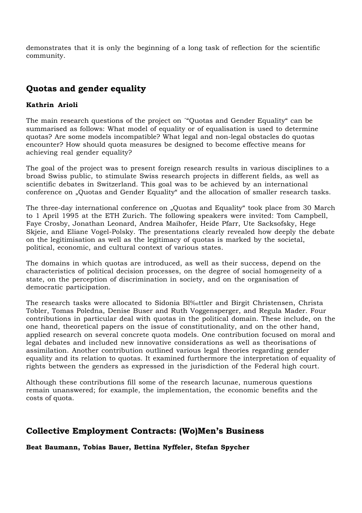demonstrates that it is only the beginning of a long task of reflection for the scientific community.

# **Quotas and gender equality**

#### **Kathrin Arioli**

The main research questions of the project on ´"Quotas and Gender Equality" can be summarised as follows: What model of equality or of equalisation is used to determine quotas? Are some models incompatible? What legal and non-legal obstacles do quotas encounter? How should quota measures be designed to become effective means for achieving real gender equality?

The goal of the project was to present foreign research results in various disciplines to a broad Swiss public, to stimulate Swiss research projects in different fields, as well as scientific debates in Switzerland. This goal was to be achieved by an international conference on "Quotas and Gender Equality" and the allocation of smaller research tasks.

The three-day international conference on "Quotas and Equality" took place from 30 March to 1 April 1995 at the ETH Zurich. The following speakers were invited: Tom Campbell, Faye Crosby, Jonathan Leonard, Andrea Maihofer, Heide Pfarr, Ute Sacksofsky, Hege Skjeie, and Eliane Vogel-Polsky. The presentations clearly revealed how deeply the debate on the legitimisation as well as the legitimacy of quotas is marked by the societal, political, economic, and cultural context of various states.

The domains in which quotas are introduced, as well as their success, depend on the characteristics of political decision processes, on the degree of social homogeneity of a state, on the perception of discrimination in society, and on the organisation of democratic participation.

The research tasks were allocated to Sidonia Bl‰ttler and Birgit Christensen, Christa Tobler, Tomas Poledna, Denise Buser and Ruth Voggensperger, and Regula Mader. Four contributions in particular deal with quotas in the political domain. These include, on the one hand, theoretical papers on the issue of constitutionality, and on the other hand, applied research on several concrete quota models. One contribution focused on moral and legal debates and included new innovative considerations as well as theorisations of assimilation. Another contribution outlined various legal theories regarding gender equality and its relation to quotas. It examined furthermore the interpretation of equality of rights between the genders as expressed in the jurisdiction of the Federal high court.

Although these contributions fill some of the research lacunae, numerous questions remain unanswered; for example, the implementation, the economic benefits and the costs of quota.

# **Collective Employment Contracts: (Wo)Men's Business**

**Beat Baumann, Tobias Bauer, Bettina Nyffeler, Stefan Spycher**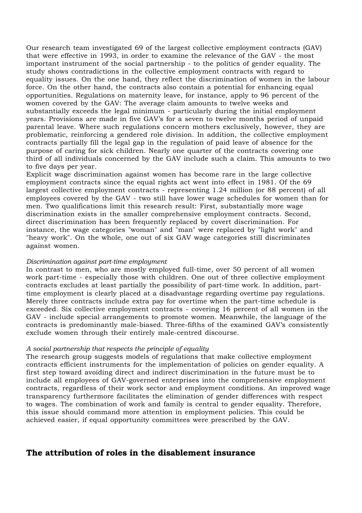Our research team investigated 69 of the largest collective employment contracts (GAV) that were effective in 1993, in order to examine the relevance of the GAV - the most important instrument of the social partnership - to the politics of gender equality. The study shows contradictions in the collective employment contracts with regard to equality issues. On the one hand, they reflect the discrimination of women in the labour force. On the other hand, the contracts also contain a potential for enhancing equal opportunities. Regulations on maternity leave, for instance, apply to 96 percent of the women covered by the GAV: The average claim amounts to twelve weeks and substantially exceeds the legal minimum - particularly during the initial employment years. Provisions are made in five GAV's for a seven to twelve months period of unpaid parental leave. Where such regulations concern mothers exclusively, however, they are problematic, reinforcing a gendered role division. In addition, the collective employment contracts partially fill the legal gap in the regulation of paid leave of absence for the purpose of caring for sick children. Nearly one quarter of the contracts covering one third of all individuals concerned by the GAV include such a claim. This amounts to two to five days per year.

Explicit wage discrimination against women has become rare in the large collective employment contracts since the equal rights act went into effect in 1981. Of the 69 largest collective employment contracts - representing 1.24 million (or 88 percent) of all employees covered by the GAV - two still have lower wage schedules for women than for men. Two qualifications limit this research result: First, substantially more wage discrimination exists in the smaller comprehensive employment contracts. Second, direct discrimination has been frequently replaced by covert discrimination. For instance, the wage categories "woman" and "man" were replaced by "light work" and "heavy work". On the whole, one out of six GAV wage categories still discriminates against women.

#### *Discrimination against part-time employment*

In contrast to men, who are mostly employed full-time, over 50 percent of all women work part-time - especially those with children. One out of three collective employment contracts excludes at least partially the possibility of part-time work. In addition, parttime employment is clearly placed at a disadvantage regarding overtime pay regulations. Merely three contracts include extra pay for overtime when the part-time schedule is exceeded. Six collective employment contracts - covering 16 percent of all women in the GAV - include special arrangements to promote women. Meanwhile, the language of the contracts is predominantly male-biased. Three-fifths of the examined GAV's consistently exclude women through their entirely male-centred discourse.

#### *A social partnership that respects the principle of equality*

The research group suggests models of regulations that make collective employment contracts efficient instruments for the implementation of policies on gender equality. A first step toward avoiding direct and indirect discrimination in the future must be to include all employees of GAV-governed enterprises into the comprehensive employment contracts, regardless of their work sector and employment conditions. An improved wage transparency furthermore facilitates the elimination of gender differences with respect to wages. The combination of work and family is central to gender equality. Therefore, this issue should command more attention in employment policies. This could be achieved easier, if equal opportunity committees were prescribed by the GAV.

### **The attribution of roles in the disablement insurance**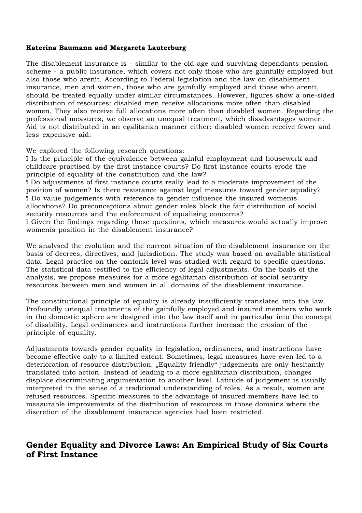#### **Katerina Baumann and Margareta Lauterburg**

The disablement insurance is - similar to the old age and surviving dependants pension scheme - a public insurance, which covers not only those who are gainfully employed but also those who arenít. According to Federal legislation and the law on disablement insurance, men and women, those who are gainfully employed and those who arenít, should be treated equally under similar circumstances. However, figures show a one-sided distribution of resources: disabled men receive allocations more often than disabled women. They also receive full allocations more often than disabled women. Regarding the professional measures, we observe an unequal treatment, which disadvantages women. Aid is not distributed in an egalitarian manner either: disabled women receive fewer and less expensive aid.

We explored the following research questions:

ï Is the principle of the equivalence between gainful employment and housework and childcare practised by the first instance courts? Do first instance courts erode the principle of equality of the constitution and the law?

ï Do adjustments of first instance courts really lead to a moderate improvement of the position of women? Is there resistance against legal measures toward gender equality? ï Do value judgements with reference to gender influence the insured womenís allocations? Do preconceptions about gender roles block the fair distribution of social security resources and the enforcement of equalising concerns?

ï Given the findings regarding these questions, which measures would actually improve womenís position in the disablement insurance?

We analysed the evolution and the current situation of the disablement insurance on the basis of decrees, directives, and jurisdiction. The study was based on available statistical data. Legal practice on the cantonís level was studied with regard to specific questions. The statistical data testified to the efficiency of legal adjustments. On the basis of the analysis, we propose measures for a more egalitarian distribution of social security resources between men and women in all domains of the disablement insurance.

The constitutional principle of equality is already insufficiently translated into the law. Profoundly unequal treatments of the gainfully employed and insured members who work in the domestic sphere are designed into the law itself and in particular into the concept of disability. Legal ordinances and instructions further increase the erosion of the principle of equality.

Adjustments towards gender equality in legislation, ordinances, and instructions have become effective only to a limited extent. Sometimes, legal measures have even led to a deterioration of resource distribution. "Equality friendly" judgements are only hesitantly translated into action. Instead of leading to a more egalitarian distribution, changes displace discriminating argumentation to another level. Latitude of judgement is usually interpreted in the sense of a traditional understanding of roles. As a result, women are refused resources. Specific measures to the advantage of insured members have led to measurable improvements of the distribution of resources in those domains where the discretion of the disablement insurance agencies had been restricted.

# **Gender Equality and Divorce Laws: An Empirical Study of Six Courts of First Instance**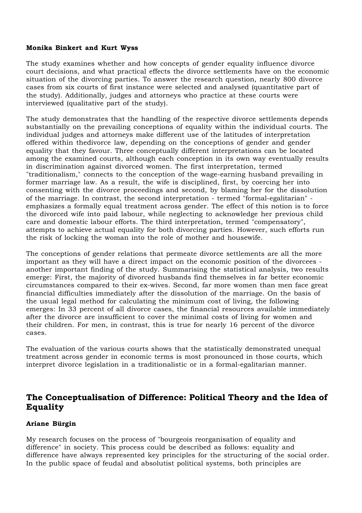#### **Monika Binkert and Kurt Wyss**

The study examines whether and how concepts of gender equality influence divorce court decisions, and what practical effects the divorce settlements have on the economic situation of the divorcing parties. To answer the research question, nearly 800 divorce cases from six courts of first instance were selected and analysed (quantitative part of the study). Additionally, judges and attorneys who practice at these courts were interviewed (qualitative part of the study).

The study demonstrates that the handling of the respective divorce settlements depends substantially on the prevailing conceptions of equality within the individual courts. The individual judges and attorneys make different use of the latitudes of interpretation offered within thedivorce law, depending on the conceptions of gender and gender equality that they favour. Three conceptually different interpretations can be located among the examined courts, although each conception in its own way eventually results in discrimination against divorced women. The first interpretation, termed "traditionalism," connects to the conception of the wage-earning husband prevailing in former marriage law. As a result, the wife is disciplined, first, by coercing her into consenting with the divorce proceedings and second, by blaming her for the dissolution of the marriage. In contrast, the second interpretation - termed "formal-egalitarian" emphasizes a formally equal treatment across gender. The effect of this notion is to force the divorced wife into paid labour, while neglecting to acknowledge her previous child care and domestic labour efforts. The third interpretation, termed "compensatory", attempts to achieve actual equality for both divorcing parties. However, such efforts run the risk of locking the woman into the role of mother and housewife.

The conceptions of gender relations that permeate divorce settlements are all the more important as they will have a direct impact on the economic position of the divorcees another important finding of the study. Summarising the statistical analysis, two results emerge: First, the majority of divorced husbands find themselves in far better economic circumstances compared to their ex-wives. Second, far more women than men face great financial difficulties immediately after the dissolution of the marriage. On the basis of the usual legal method for calculating the minimum cost of living, the following emerges: In 33 percent of all divorce cases, the financial resources available immediately after the divorce are insufficient to cover the minimal costs of living for women and their children. For men, in contrast, this is true for nearly 16 percent of the divorce cases.

The evaluation of the various courts shows that the statistically demonstrated unequal treatment across gender in economic terms is most pronounced in those courts, which interpret divorce legislation in a traditionalistic or in a formal-egalitarian manner.

# **The Conceptualisation of Difference: Political Theory and the Idea of Equality**

#### **Ariane Bürgin**

My research focuses on the process of "bourgeois reorganisation of equality and difference" in society. This process could be described as follows: equality and difference have always represented key principles for the structuring of the social order. In the public space of feudal and absolutist political systems, both principles are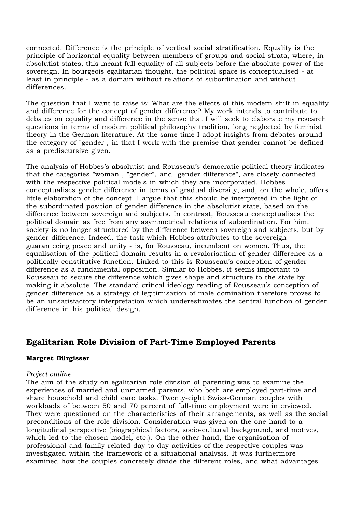connected. Difference is the principle of vertical social stratification. Equality is the principle of horizontal equality between members of groups and social strata, where, in absolutist states, this meant full equality of all subjects before the absolute power of the sovereign. In bourgeois egalitarian thought, the political space is conceptualised - at least in principle - as a domain without relations of subordination and without differences.

The question that I want to raise is: What are the effects of this modern shift in equality and difference for the concept of gender difference? My work intends to contribute to debates on equality and difference in the sense that I will seek to elaborate my research questions in terms of modern political philosophy tradition, long neglected by feminist theory in the German literature. At the same time I adopt insights from debates around the category of "gender", in that I work with the premise that gender cannot be defined as a prediscursive given.

The analysis of Hobbes's absolutist and Rousseau's democratic political theory indicates that the categories "woman", "gender", and "gender difference", are closely connected with the respective political models in which they are incorporated. Hobbes conceptualises gender difference in terms of gradual diversity, and, on the whole, offers little elaboration of the concept. I argue that this should be interpreted in the light of the subordinated position of gender difference in the absolutist state, based on the difference between sovereign and subjects. In contrast, Rousseau conceptualises the political domain as free from any asymmetrical relations of subordination. For him, society is no longer structured by the difference between sovereign and subjects, but by gender difference. Indeed, the task which Hobbes attributes to the sovereign guaranteeing peace and unity - is, for Rousseau, incumbent on women. Thus, the equalisation of the political domain results in a revalorisation of gender difference as a politically constitutive function. Linked to this is Rousseau's conception of gender difference as a fundamental opposition. Similar to Hobbes, it seems important to Rousseau to secure the difference which gives shape and structure to the state by making it absolute. The standard critical ideology reading of Rousseau's conception of gender difference as a strategy of legitimisation of male domination therefore proves to be an unsatisfactory interpretation which underestimates the central function of gender difference in his political design.

# **Egalitarian Role Division of Part-Time Employed Parents**

#### **Margret Bürgisser**

#### *Project outline*

The aim of the study on egalitarian role division of parenting was to examine the experiences of married and unmarried parents, who both are employed part-time and share household and child care tasks. Twenty-eight Swiss-German couples with workloads of between 50 and 70 percent of full-time employment were interviewed. They were questioned on the characteristics of their arrangements, as well as the social preconditions of the role division. Consideration was given on the one hand to a longitudinal perspective (biographical factors, socio-cultural background, and motives, which led to the chosen model, etc.). On the other hand, the organisation of professional and family-related day-to-day activities of the respective couples was investigated within the framework of a situational analysis. It was furthermore examined how the couples concretely divide the different roles, and what advantages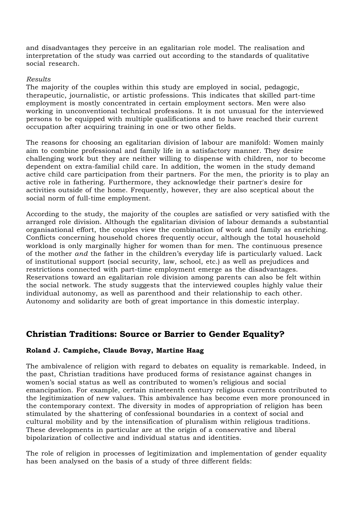and disadvantages they perceive in an egalitarian role model. The realisation and interpretation of the study was carried out according to the standards of qualitative social research.

#### *Results*

The majority of the couples within this study are employed in social, pedagogic, therapeutic, journalistic, or artistic professions. This indicates that skilled part-time employment is mostly concentrated in certain employment sectors. Men were also working in unconventional technical professions. It is not unusual for the interviewed persons to be equipped with multiple qualifications and to have reached their current occupation after acquiring training in one or two other fields.

The reasons for choosing an egalitarian division of labour are manifold: Women mainly aim to combine professional and family life in a satisfactory manner. They desire challenging work but they are neither willing to dispense with children, nor to become dependent on extra-familial child care. In addition, the women in the study demand active child care participation from their partners. For the men, the priority is to play an active role in fathering. Furthermore, they acknowledge their partner's desire for activities outside of the home. Frequently, however, they are also sceptical about the social norm of full-time employment.

According to the study, the majority of the couples are satisfied or very satisfied with the arranged role division. Although the egalitarian division of labour demands a substantial organisational effort, the couples view the combination of work and family as enriching. Conflicts concerning household chores frequently occur, although the total household workload is only marginally higher for women than for men. The continuous presence of the mother *and* the father in the children's everyday life is particularly valued. Lack of institutional support (social security, law, school, etc.) as well as prejudices and restrictions connected with part-time employment emerge as the disadvantages. Reservations toward an egalitarian role division among parents can also be felt within the social network. The study suggests that the interviewed couples highly value their individual autonomy, as well as parenthood and their relationship to each other. Autonomy and solidarity are both of great importance in this domestic interplay.

# **Christian Traditions: Source or Barrier to Gender Equality?**

#### **Roland J. Campiche, Claude Bovay, Martine Haag**

The ambivalence of religion with regard to debates on equality is remarkable. Indeed, in the past, Christian traditions have produced forms of resistance against changes in women's social status as well as contributed to women's religious and social emancipation. For example, certain nineteenth century religious currents contributed to the legitimization of new values. This ambivalence has become even more pronounced in the contemporary context. The diversity in modes of appropriation of religion has been stimulated by the shattering of confessional boundaries in a context of social and cultural mobility and by the intensification of pluralism within religious traditions. These developments in particular are at the origin of a conservative and liberal bipolarization of collective and individual status and identities.

The role of religion in processes of legitimization and implementation of gender equality has been analysed on the basis of a study of three different fields: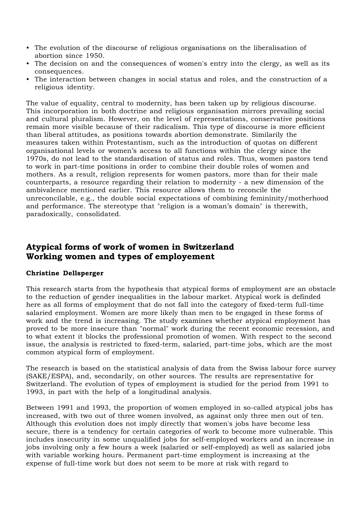- The evolution of the discourse of religious organisations on the liberalisation of abortion since 1950.
- The decision on and the consequences of women's entry into the clergy, as well as its consequences.
- The interaction between changes in social status and roles, and the construction of a religious identity.

The value of equality, central to modernity, has been taken up by religious discourse. This incorporation in both doctrine and religious organisation mirrors prevailing social and cultural pluralism. However, on the level of representations, conservative positions remain more visible because of their radicalism. This type of discourse is more efficient than liberal attitudes, as positions towards abortion demonstrate. Similarily the measures taken within Protestantism, such as the introduction of quotas on different organisational levels or women's access to all functions within the clergy since the 1970s, do not lead to the standardisation of status and roles. Thus, women pastors tend to work in part-time positions in order to combine their double roles of women and mothers. As a result, religion represents for women pastors, more than for their male counterparts, a resource regarding their relation to modernity - a new dimension of the ambivalence mentioned earlier. This resource allows them to reconcile the unreconcilable, e.g., the double social expectations of combining femininity/motherhood and performance. The stereotype that "religion is a woman's domain" is therewith, paradoxically, consolidated.

# **Atypical forms of work of women in Switzerland Working women and types of employement**

#### **Christine Dellsperger**

This research starts from the hypothesis that atypical forms of employment are an obstacle to the reduction of gender inequalities in the labour market. Atypical work is definded here as all forms of employment that do not fall into the category of fixed-term full-time salaried employment. Women are more likely than men to be engaged in these forms of work and the trend is increasing. The study examines whether atypical employment has proved to be more insecure than "normal" work during the recent economic recession, and to what extent it blocks the professional promotion of women. With respect to the second issue, the analysis is restricted to fixed-term, salaried, part-time jobs, which are the most common atypical form of employment.

The research is based on the statistical analysis of data from the Swiss labour force survey (SAKE/ESPA), and, secondarily, on other sources. The results are representative for Switzerland. The evolution of types of employment is studied for the period from 1991 to 1993, in part with the help of a longitudinal analysis.

Between 1991 and 1993, the proportion of women employed in so-called atypical jobs has increased, with two out of three women involved, as against only three men out of ten. Although this evolution does not imply directly that women's jobs have become less secure, there is a tendency for certain categories of work to become more vulnerable. This includes insecurity in some unqualified jobs for self-employed workers and an increase in jobs involving only a few hours a week (salaried or self-employed) as well as salaried jobs with variable working hours. Permanent part-time employment is increasing at the expense of full-time work but does not seem to be more at risk with regard to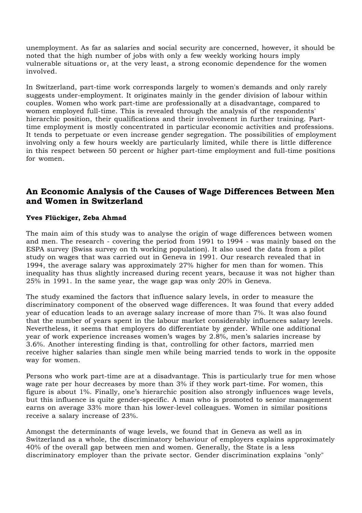unemployment. As far as salaries and social security are concerned, however, it should be noted that the high number of jobs with only a few weekly working hours imply vulnerable situations or, at the very least, a strong economic dependence for the women involved.

In Switzerland, part-time work corresponds largely to women's demands and only rarely suggests under-employment. It originates mainly in the gender division of labour within couples. Women who work part-time are professionally at a disadvantage, compared to women employed full-time. This is revealed through the analysis of the respondents' hierarchic position, their qualifications and their involvement in further training. Parttime employment is mostly concentrated in particular economic activities and professions. It tends to perpetuate or even increase gender segregation. The possibilities of employment involving only a few hours weekly are particularly limited, while there is little difference in this respect between 50 percent or higher part-time employment and full-time positions for women.

# **An Economic Analysis of the Causes of Wage Differences Between Men and Women in Switzerland**

#### **Yves Flückiger, Zeba Ahmad**

The main aim of this study was to analyse the origin of wage differences between women and men. The research - covering the period from 1991 to 1994 - was mainly based on the ESPA survey (Swiss survey on th working population). It also used the data from a pilot study on wages that was carried out in Geneva in 1991. Our research revealed that in 1994, the average salary was approximately 27% higher for men than for women. This inequality has thus slightly increased during recent years, because it was not higher than 25% in 1991. In the same year, the wage gap was only 20% in Geneva.

The study examined the factors that influence salary levels, in order to measure the discriminatory component of the observed wage differences. It was found that every added year of education leads to an average salary increase of more than 7%. It was also found that the number of years spent in the labour market considerably influences salary levels. Nevertheless, it seems that employers do differentiate by gender. While one additional year of work experience increases women's wages by 2.8%, men's salaries increase by 3.6%. Another interesting finding is that, controlling for other factors, married men receive higher salaries than single men while being married tends to work in the opposite way for women.

Persons who work part-time are at a disadvantage. This is particularly true for men whose wage rate per hour decreases by more than 3% if they work part-time. For women, this figure is about 1%. Finally, one's hierarchic position also strongly influences wage levels, but this influence is quite gender-specific. A man who is promoted to senior management earns on average 33% more than his lower-level colleagues. Women in similar positions receive a salary increase of 23%.

Amongst the determinants of wage levels, we found that in Geneva as well as in Switzerland as a whole, the discriminatory behaviour of employers explains approximately 40% of the overall gap between men and women. Generally, the State is a less discriminatory employer than the private sector. Gender discrimination explains "only"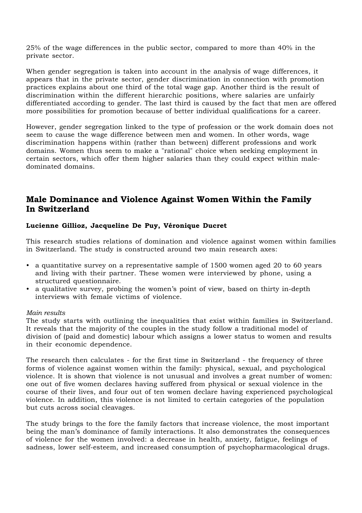25% of the wage differences in the public sector, compared to more than 40% in the private sector.

When gender segregation is taken into account in the analysis of wage differences, it appears that in the private sector, gender discrimination in connection with promotion practices explains about one third of the total wage gap. Another third is the result of discrimination within the different hierarchic positions, where salaries are unfairly differentiated according to gender. The last third is caused by the fact that men are offered more possibilities for promotion because of better individual qualifications for a career.

However, gender segregation linked to the type of profession or the work domain does not seem to cause the wage difference between men and women. In other words, wage discrimination happens within (rather than between) different professions and work domains. Women thus seem to make a "rational" choice when seeking employment in certain sectors, which offer them higher salaries than they could expect within maledominated domains.

# **Male Dominance and Violence Against Women Within the Family In Switzerland**

#### **Lucienne Gillioz, Jacqueline De Puy, Véronique Ducret**

This research studies relations of domination and violence against women within families in Switzerland. The study is constructed around two main research axes:

- a quantitative survey on a representative sample of 1500 women aged 20 to 60 years and living with their partner. These women were interviewed by phone, using a structured questionnaire.
- a qualitative survey, probing the women's point of view, based on thirty in-depth interviews with female victims of violence.

#### *Main results*

The study starts with outlining the inequalities that exist within families in Switzerland. It reveals that the majority of the couples in the study follow a traditional model of division of (paid and domestic) labour which assigns a lower status to women and results in their economic dependence.

The research then calculates - for the first time in Switzerland - the frequency of three forms of violence against women within the family: physical, sexual, and psychological violence. It is shown that violence is not unusual and involves a great number of women: one out of five women declares having suffered from physical or sexual violence in the course of their lives, and four out of ten women declare having experienced psychological violence. In addition, this violence is not limited to certain categories of the population but cuts across social cleavages.

The study brings to the fore the family factors that increase violence, the most important being the man's dominance of family interactions. It also demonstrates the consequences of violence for the women involved: a decrease in health, anxiety, fatigue, feelings of sadness, lower self-esteem, and increased consumption of psychopharmacological drugs.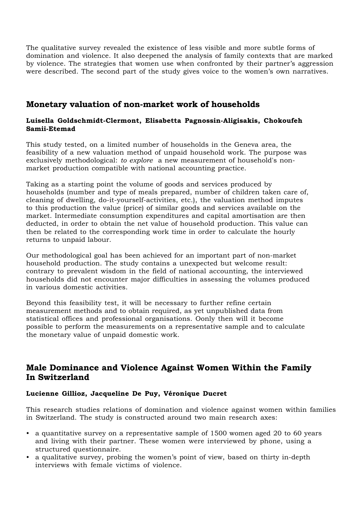The qualitative survey revealed the existence of less visible and more subtle forms of domination and violence. It also deepened the analysis of family contexts that are marked by violence. The strategies that women use when confronted by their partner's aggression were described. The second part of the study gives voice to the women's own narratives.

# **Monetary valuation of non-market work of households**

#### **Luisella Goldschmidt-Clermont, Elisabetta Pagnossin-Aligisakis, Chokoufeh Samii-Etemad**

This study tested, on a limited number of households in the Geneva area, the feasibility of a new valuation method of unpaid household work. The purpose was exclusively methodological: *to explore* a new measurement of household's nonmarket production compatible with national accounting practice.

Taking as a starting point the volume of goods and services produced by households (number and type of meals prepared, number of children taken care of, cleaning of dwelling, do-it-yourself-activities, etc.), the valuation method imputes to this production the value (price) of similar goods and services available on the market. Intermediate consumption expenditures and capital amortisation are then deducted, in order to obtain the net value of household production. This value can then be related to the corresponding work time in order to calculate the hourly returns to unpaid labour.

Our methodological goal has been achieved for an important part of non-market household production. The study contains a unexpected but welcome result: contrary to prevalent wisdom in the field of national accounting, the interviewed households did not encounter major difficulties in assessing the volumes produced in various domestic activities.

Beyond this feasibility test, it will be necessary to further refine certain measurement methods and to obtain required, as yet unpublished data from statistical offices and professional organisations. Oonly then will it become possible to perform the measurements on a representative sample and to calculate the monetary value of unpaid domestic work.

# **Male Dominance and Violence Against Women Within the Family In Switzerland**

#### **Lucienne Gillioz, Jacqueline De Puy, Véronique Ducret**

This research studies relations of domination and violence against women within families in Switzerland. The study is constructed around two main research axes:

- a quantitative survey on a representative sample of 1500 women aged 20 to 60 years and living with their partner. These women were interviewed by phone, using a structured questionnaire.
- a qualitative survey, probing the women's point of view, based on thirty in-depth interviews with female victims of violence.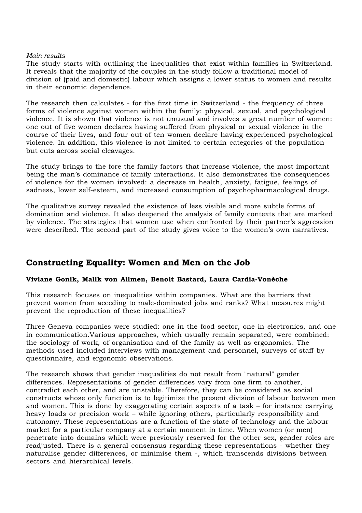#### *Main results*

The study starts with outlining the inequalities that exist within families in Switzerland. It reveals that the majority of the couples in the study follow a traditional model of division of (paid and domestic) labour which assigns a lower status to women and results in their economic dependence.

The research then calculates - for the first time in Switzerland - the frequency of three forms of violence against women within the family: physical, sexual, and psychological violence. It is shown that violence is not unusual and involves a great number of women: one out of five women declares having suffered from physical or sexual violence in the course of their lives, and four out of ten women declare having experienced psychological violence. In addition, this violence is not limited to certain categories of the population but cuts across social cleavages.

The study brings to the fore the family factors that increase violence, the most important being the man's dominance of family interactions. It also demonstrates the consequences of violence for the women involved: a decrease in health, anxiety, fatigue, feelings of sadness, lower self-esteem, and increased consumption of psychopharmacological drugs.

The qualitative survey revealed the existence of less visible and more subtle forms of domination and violence. It also deepened the analysis of family contexts that are marked by violence. The strategies that women use when confronted by their partner's aggression were described. The second part of the study gives voice to the women's own narratives.

# **Constructing Equality: Women and Men on the Job**

#### **Viviane Gonik, Malik von Allmen, Benoit Bastard, Laura Cardia-Vonèche**

This research focuses on inequalities within companies. What are the barriers that prevent women from acceding to male-dominated jobs and ranks? What measures might prevent the reproduction of these inequalities?

Three Geneva companies were studied: one in the food sector, one in electronics, and one in communication.Various approaches, which usually remain separated, were combined: the sociology of work, of organisation and of the family as well as ergonomics. The methods used included interviews with management and personnel, surveys of staff by questionnaire, and ergonomic observations.

The research shows that gender inequalities do not result from "natural" gender differences. Representations of gender differences vary from one firm to another, contradict each other, and are unstable. Therefore, they can be considered as social constructs whose only function is to legitimize the present division of labour between men and women. This is done by exaggerating certain aspects of a task – for instance carrying heavy loads or precision work – while ignoring others, particularly responsibility and autonomy. These representations are a function of the state of technology and the labour market for a particular company at a certain moment in time. When women (or men) penetrate into domains which were previously reserved for the other sex, gender roles are readjusted. There is a general consensus regarding these representations - whether they naturalise gender differences, or minimise them -, which transcends divisions between sectors and hierarchical levels.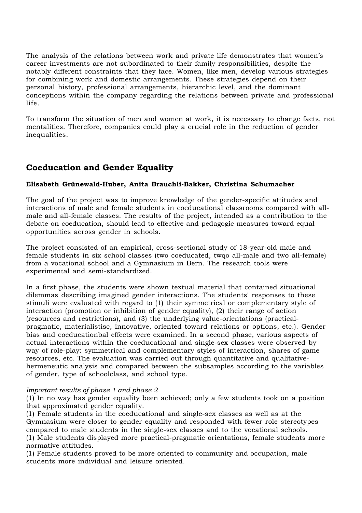The analysis of the relations between work and private life demonstrates that women's career investments are not subordinated to their family responsibilities, despite the notably different constraints that they face. Women, like men, develop various strategies for combining work and domestic arrangements. These strategies depend on their personal history, professional arrangements, hierarchic level, and the dominant conceptions within the company regarding the relations between private and professional life.

To transform the situation of men and women at work, it is necessary to change facts, not mentalities. Therefore, companies could play a crucial role in the reduction of gender inequalities.

# **Coeducation and Gender Equality**

#### **Elisabeth Grünewald-Huber, Anita Brauchli-Bakker, Christina Schumacher**

The goal of the project was to improve knowledge of the gender-specific attitudes and interactions of male and female students in coeducational classrooms compared with allmale and all-female classes. The results of the project, intended as a contribution to the debate on coeducation, should lead to effective and pedagogic measures toward equal opportunities across gender in schools.

The project consisted of an empirical, cross-sectional study of 18-year-old male and female students in six school classes (two coeducated, twqo all-male and two all-female) from a vocational school and a Gymnasium in Bern. The research tools were experimental and semi-standardized.

In a first phase, the students were shown textual material that contained situational dilemmas describing imagined gender interactions. The students' responses to these stimuli were evaluated with regard to (1) their symmetrical or complementary style of interaction (promotion or inhibition of gender equality), (2) their range of action (resources and restrictions), and (3) the underlying value-orientations (practicalpragmatic, materialistisc, innovative, oriented toward relations or options, etc.). Gender bias and coeducationbal effects were examined. In a second phase, various aspects of actual interactions within the coeducational and single-sex classes were observed by way of role-play: symmetrical and complementary styles of interaction, shares of game resources, etc. The evaluation was carried out through quantitative and qualitativehermeneutic analysis and compared between the subsamples according to the variables of gender, type of schoolclass, and school type.

#### *Important results of phase 1 and phase 2*

(1) In no way has gender equality been achieved; only a few students took on a position that approximated gender equality.

(1) Female students in the coeducational and single-sex classes as well as at the Gymnasium were closer to gender equality and responded with fewer role stereotypes compared to male students in the single-sex classes and to the vocational schools. (1) Male students displayed more practical-pragmatic orientations, female students more normative attitudes.

(1) Female students proved to be more oriented to community and occupation, male students more individual and leisure oriented.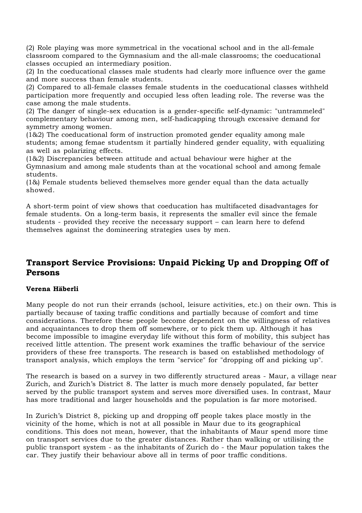(2) Role playing was more symmetrical in the vocational school and in the all-female classroom compared to the Gymnasium and the all-male classrooms; the coeducational classes occupied an intermediary position.

(2) In the coeducational classes male students had clearly more influence over the game and more success than female students.

(2) Compared to all-female classes female students in the coeducational classes withheld participation more frequently and occupied less often leading role. The reverse was the case among the male students.

(2) The danger of single-sex education is a gender-specific self-dynamic: "untrammeled" complementary behaviour among men, self-hadicapping through excessive demand for symmetry among women.

(1&2) The coeducational form of instruction promoted gender equality among male students; among femae studentsm it partially hindered gender equality, with equalizing as well as polarizing effects.

(1&2) Discrepancies between attitude and actual behaviour were higher at the Gymnasium and among male students than at the vocational school and among female students.

(1&) Female students believed themselves more gender equal than the data actually showed.

A short-term point of view shows that coeducation has multifaceted disadvantages for female students. On a long-term basis, it represents the smaller evil since the female students - provided they receive the necessary support – can learn here to defend themselves against the domineering strategies uses by men.

# **Transport Service Provisions: Unpaid Picking Up and Dropping Off of Persons**

#### **Verena Häberli**

Many people do not run their errands (school, leisure activities, etc.) on their own. This is partially because of taxing traffic conditions and partially because of comfort and time considerations. Therefore these people become dependent on the willingness of relatives and acquaintances to drop them off somewhere, or to pick them up. Although it has become impossible to imagine everyday life without this form of mobility, this subject has received little attention. The present work examines the traffic behaviour of the service providers of these free transports. The research is based on established methodology of transport analysis, which employs the term "service" for "dropping off and picking up".

The research is based on a survey in two differently structured areas - Maur, a village near Zurich, and Zurich's District 8. The latter is much more densely populated, far better served by the public transport system and serves more diversified uses. In contrast, Maur has more traditional and larger households and the population is far more motorised.

In Zurich's District 8, picking up and dropping off people takes place mostly in the vicinity of the home, which is not at all possible in Maur due to its geographical conditions. This does not mean, however, that the inhabitants of Maur spend more time on transport services due to the greater distances. Rather than walking or utilising the public transport system - as the inhabitants of Zurich do - the Maur population takes the car. They justify their behaviour above all in terms of poor traffic conditions.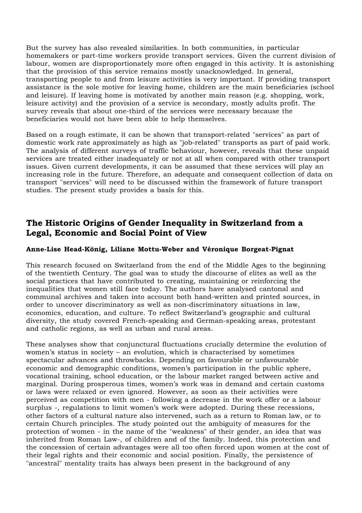But the survey has also revealed similarities. In both communities, in particular homemakers or part-time workers provide transport services. Given the current division of labour, women are disproportionately more often engaged in this activity. It is astonishing that the provision of this service remains mostly unacknowledged. In general, transporting people to and from leisure activities is very important. If providing transport assistance is the sole motive for leaving home, children are the main beneficiaries (school and leisure). If leaving home is motivated by another main reason (e.g. shopping, work, leisure activity) and the provision of a service is secondary, mostly adults profit. The survey reveals that about one-third of the services were necessary because the beneficiaries would not have been able to help themselves.

Based on a rough estimate, it can be shown that transport-related "services" as part of domestic work rate approximately as high as "job-related" transports as part of paid work. The analysis of different surveys of traffic behaviour, however, reveals that these unpaid services are treated either inadequately or not at all when compared with other transport issues. Given current developments, it can be assumed that these services will play an increasing role in the future. Therefore, an adequate and consequent collection of data on transport "services" will need to be discussed within the framework of future transport studies. The present study provides a basis for this.

### **The Historic Origins of Gender Inequality in Switzerland from a Legal, Economic and Social Point of View**

#### **Anne-Lise Head-König, Liliane Mottu-Weber and Véronique Borgeat-Pignat**

This research focused on Switzerland from the end of the Middle Ages to the beginning of the twentieth Century. The goal was to study the discourse of elites as well as the social practices that have contributed to creating, maintaining or reinforcing the inequalities that women still face today. The authors have analysed cantonal and communal archives and taken into account both hand-written and printed sources, in order to uncover discriminatory as well as non-discriminatory situations in law, economics, education, and culture. To reflect Switzerland's geographic and cultural diversity, the study covered French-speaking and German-speaking areas, protestant and catholic regions, as well as urban and rural areas.

These analyses show that conjunctural fluctuations crucially determine the evolution of women's status in society – an evolution, which is characterised by sometimes spectacular advances and throwbacks. Depending on favourable or unfavourable economic and demographic conditions, women's participation in the public sphere, vocational training, school education, or the labour market ranged between active and marginal. During prosperous times, women's work was in demand and certain customs or laws were relaxed or even ignored. However, as soon as their activities were perceived as competition with men - following a decrease in the work offer or a labour surplus -, regulations to limit women's work were adopted. During these recessions, other factors of a cultural nature also intervened, such as a return to Roman law, or to certain Church principles. The study pointed out the ambiguity of measures for the protection of women - in the name of the "weakness" of their gender, an idea that was inherited from Roman Law-, of children and of the family. Indeed, this protection and the concession of certain advantages were all too often forced upon women at the cost of their legal rights and their economic and social position. Finally, the persistence of "ancestral" mentality traits has always been present in the background of any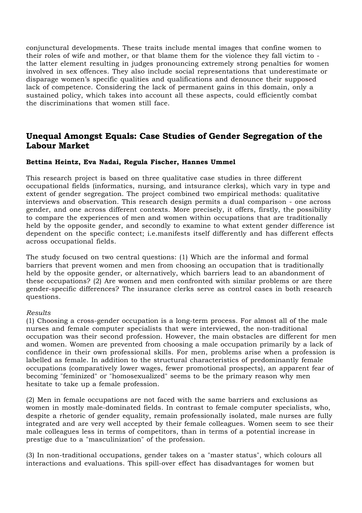conjunctural developments. These traits include mental images that confine women to their roles of wife and mother, or that blame them for the violence they fall victim to the latter element resulting in judges pronouncing extremely strong penalties for women involved in sex offences. They also include social representations that underestimate or disparage women's specific qualities and qualifications and denounce their supposed lack of competence. Considering the lack of permanent gains in this domain, only a sustained policy, which takes into account all these aspects, could efficiently combat the discriminations that women still face.

### **Unequal Amongst Equals: Case Studies of Gender Segregation of the Labour Market**

#### **Bettina Heintz, Eva Nadai, Regula Fischer, Hannes Ummel**

This research project is based on three qualitative case studies in three different occupational fields (informatics, nursing, and intsurance clerks), which vary in type and extent of gender segregation. The project combined two empirical methods: qualitative interviews and observation. This research design permits a dual comparison - one across gender, and one across different contexts. More precisely, it offers, firstly, the possibility to compare the experiences of men and women within occupations that are traditionally held by the opposite gender, and secondly to examine to what extent gender difference ist dependent on the specific contect; i.e.manifests itself differently and has different effects across occupational fields.

The study focused on two central questions: (1) Which are the informal and formal barriers that prevent women and men from choosing an occupation that is traditionally held by the opposite gender, or alternatively, which barriers lead to an abandonment of these occupations? (2) Are women and men confronted with similar problems or are there gender-specific differences? The insurance clerks serve as control cases in both research questions.

#### *Results*

(1) Choosing a cross-gender occupation is a long-term process. For almost all of the male nurses and female computer specialists that were interviewed, the non-traditional occupation was their second profession. However, the main obstacles are different for men and women. Women are prevented from choosing a male occupation primarily by a lack of confidence in their own professional skills. For men, problems arise when a profession is labelled as female. In addition to the structural characteristics of predominantly female occupations (comparatively lower wages, fewer promotional prospects), an apparent fear of becoming "feminized" or "homosexualized" seems to be the primary reason why men hesitate to take up a female profession.

(2) Men in female occupations are not faced with the same barriers and exclusions as women in mostly male-dominated fields. In contrast to female computer specialists, who, despite a rhetoric of gender equality, remain professionally isolated, male nurses are fully integrated and are very well accepted by their female colleagues. Women seem to see their male colleagues less in terms of competitors, than in terms of a potential increase in prestige due to a "masculinization" of the profession.

(3) In non-traditional occupations, gender takes on a "master status", which colours all interactions and evaluations. This spill-over effect has disadvantages for women but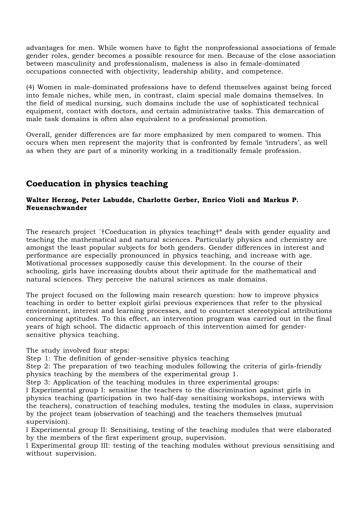advantages for men. While women have to fight the nonprofessional associations of female gender roles, gender becomes a possible resource for men. Because of the close association between masculinity and professionalism, maleness is also in female-dominated occupations connected with objectivity, leadership ability, and competence.

(4) Women in male-dominated professions have to defend themselves against being forced into female niches, while men, in contrast, claim special male domains themselves. In the field of medical nursing, such domains include the use of sophisticated technical equipment, contact with doctors, and certain administrative tasks. This demarcation of male task domains is often also equivalent to a professional promotion.

Overall, gender differences are far more emphasized by men compared to women. This occurs when men represent the majority that is confronted by female 'intruders', as well as when they are part of a minority working in a traditionally female profession.

# **Coeducation in physics teaching**

#### **Walter Herzog, Peter Labudde, Charlotte Gerber, Enrico Violi and Markus P. Neuenschwander**

The research project ´†Coeducation in physics teaching†ª deals with gender equality and teaching the mathematical and natural sciences. Particularly physics and chemistry are amongst the least popular subjects for both genders. Gender differences in interest and performance are especially pronounced in physics teaching, and increase with age. Motivational processes supposedly cause this development. In the course of their schooling, girls have increasing doubts about their aptitude for the mathematical and natural sciences. They perceive the natural sciences as male domains.

The project focused on the following main research question: how to improve physics teaching in order to better exploit girlsí previous experiences that refer to the physical environment, interest and learning processes, and to counteract stereotypical attributions concerning aptitudes. To this effect, an intervention program was carried out in the final years of high school. The didactic approach of this intervention aimed for gendersensitive physics teaching.

#### The study involved four steps:

Step 1: The definition of gender-sensitive physics teaching

Step 2: The preparation of two teaching modules following the criteria of girls-friendly physics teaching by the members of the experimental group 1.

Step 3: Application of the teaching modules in three experimental groups:

ï Experimental group I: sensitise the teachers to the discrimination against girls in physics teaching (participation in two half-day sensitising workshops, interviews with the teachers), construction of teaching modules, testing the modules in class, supervision by the project team (observation of teaching) and the teachers themselves (mutual supervision).

ï Experimental group II: Sensitising, testing of the teaching modules that were elaborated by the members of the first experiment group, supervision.

ï Experimental group III: testing of the teaching modules without previous sensitising and without supervision.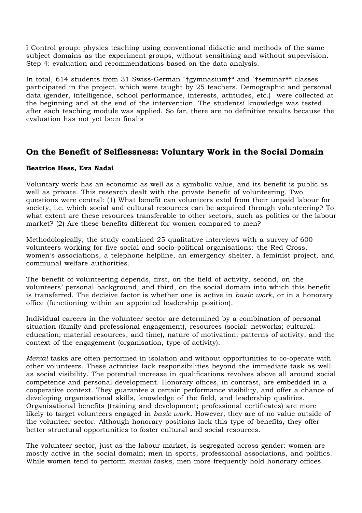ï Control group: physics teaching using conventional didactic and methods of the same subject domains as the experiment groups, without sensitising and without supervision. Step 4: evaluation and recommendations based on the data analysis.

In total, 614 students from 31 Swiss-German ´†gymnasium†ª and ´†seminar†ª classes participated in the project, which were taught by 25 teachers. Demographic and personal data (gender, intelligence, school performance, interests, attitudes, etc.) were collected at the beginning and at the end of the intervention. The studentsí knowledge was tested after each teaching module was applied. So far, there are no definitive results because the evaluation has not yet been finalis

### **On the Benefit of Selflessness: Voluntary Work in the Social Domain**

#### **Beatrice Hess, Eva Nadai**

Voluntary work has an economic as well as a symbolic value, and its benefit is public as well as private. This research dealt with the private benefit of volunteering. Two questions were central: (1) What benefit can volunteers extol from their unpaid labour for society, i.e. which social and cultural resources can be acquired through volunteering? To what extent are these resources transferable to other sectors, such as politics or the labour market? (2) Are these benefits different for women compared to men?

Methodologically, the study combined 25 qualitative interviews with a survey of 600 volunteers working for five social and socio-political organisations: the Red Cross, women's associations, a telephone helpline, an emergency shelter, a feminist project, and communal welfare authorities.

The benefit of volunteering depends, first, on the field of activity, second, on the volunteers' personal background, and third, on the social domain into which this benefit is transferred. The decisive factor is whether one is active in *basic work*, or in a honorary office (functioning within an appointed leadership position).

Individual careers in the volunteer sector are determined by a combination of personal situation (family and professional engagement), resources (social: networks; cultural: education; material resources, and time), nature of motivation, patterns of activity, and the context of the engagement (organisation, type of activity).

*Menial* tasks are often performed in isolation and without opportunities to co-operate with other volunteers. These activities lack responsibilities beyond the immediate task as well as social visibility. The potential increase in qualifications revolves above all around social competence and personal development. Honorary offices, in contrast, are embedded in a cooperative context. They guarantee a certain performance visibility, and offer a chance of developing organisational skills, knowledge of the field, and leadership qualities. Organisational benefits (training and development; professional certificates) are more likely to target volunteers engaged in *basic work*. However, they are of no value outside of the volunteer sector. Although honorary positions lack this type of benefits, they offer better structural opportunities to foster cultural and social resources.

The volunteer sector, just as the labour market, is segregated across gender: women are mostly active in the social domain; men in sports, professional associations, and politics. While women tend to perform *menial tasks*, men more frequently hold honorary offices.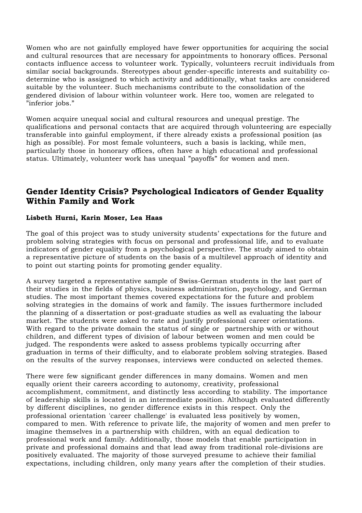Women who are not gainfully employed have fewer opportunities for acquiring the social and cultural resources that are necessary for appointments to honorary offices. Personal contacts influence access to volunteer work. Typically, volunteers recruit individuals from similar social backgrounds. Stereotypes about gender-specific interests and suitability codetermine who is assigned to which activity and additionally, what tasks are considered suitable by the volunteer. Such mechanisms contribute to the consolidation of the gendered division of labour within volunteer work. Here too, women are relegated to "inferior jobs."

Women acquire unequal social and cultural resources and unequal prestige. The qualifications and personal contacts that are acquired through volunteering are especially transferable into gainful employment, if there already exists a professional position (as high as possible). For most female volunteers, such a basis is lacking, while men, particularly those in honorary offices, often have a high educational and professional status. Ultimately, volunteer work has unequal "payoffs" for women and men.

# **Gender Identity Crisis? Psychological Indicators of Gender Equality Within Family and Work**

#### **Lisbeth Hurni, Karin Moser, Lea Haas**

The goal of this project was to study university students' expectations for the future and problem solving strategies with focus on personal and professional life, and to evaluate indicators of gender equality from a psychological perspective. The study aimed to obtain a representative picture of students on the basis of a multilevel approach of identity and to point out starting points for promoting gender equality.

A survey targeted a representative sample of Swiss-German students in the last part of their studies in the fields of physics, business administration, psychology, and German studies. The most important themes covered expectations for the future and problem solving strategies in the domains of work and family. The issues furthermore included the planning of a dissertation or post-graduate studies as well as evaluating the labour market. The students were asked to rate and justify professional career orientations. With regard to the private domain the status of single or partnership with or without children, and different types of division of labour between women and men could be judged. The respondents were asked to assess problems typically occurring after graduation in terms of their difficulty, and to elaborate problem solving strategies. Based on the results of the survey responses, interviews were conducted on selected themes.

There were few significant gender differences in many domains. Women and men equally orient their careers according to autonomy, creativity, professional accomplishment, commitment, and distinctly less according to stability. The importance of leadership skills is located in an intermediate position. Although evaluated differently by different disciplines, no gender difference exists in this respect. Only the professional orientation 'career challenge' is evaluated less positively by women, compared to men. With reference to private life, the majority of women and men prefer to imagine themselves in a partnership with children, with an equal dedication to professional work and family. Additionally, those models that enable participation in private and professional domains and that lead away from traditional role-divisions are positively evaluated. The majority of those surveyed presume to achieve their familial expectations, including children, only many years after the completion of their studies.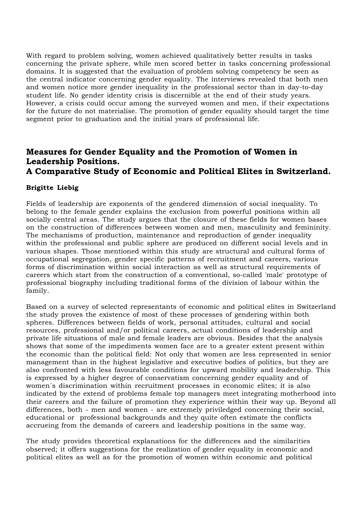With regard to problem solving, women achieved qualitatively better results in tasks concerning the private sphere, while men scored better in tasks concerning professional domains. It is suggested that the evaluation of problem solving competency be seen as the central indicator concerning gender equality. The interviews revealed that both men and women notice more gender inequality in the professional sector than in day-to-day student life. No gender identity crisis is discernible at the end of their study years. However, a crisis could occur among the surveyed women and men, if their expectations for the future do not materialise. The promotion of gender equality should target the time segment prior to graduation and the initial years of professional life.

### **Measures for Gender Equality and the Promotion of Women in Leadership Positions. A Comparative Study of Economic and Political Elites in Switzerland.**

#### **Brigitte Liebig**

Fields of leadership are exponents of the gendered dimension of social inequality. To belong to the female gender explains the exclusion from powerful positions within all socially central areas. The study argues that the closure of these fields for women bases on the construction of differences between women and men, masculinity and femininity. The mechanisms of production, maintenance and reproduction of gender inequality within the professional and public sphere are produced on different social levels and in various shapes. Those mentioned within this study are structural and cultural forms of occupational segregation, gender specific patterns of recruitment and careers, various forms of discrimination within social interaction as well as structural requirements of careers which start from the construction of a conventional, so-called 'male' prototype of professional biography including traditional forms of the division of labour within the family.

Based on a survey of selected representants of economic and political elites in Switzerland the study proves the existence of most of these processes of gendering within both spheres. Differences between fields of work, personal attitudes, cultural and social resources, professional and/or political careers, actual conditions of leadership and private life situations of male and female leaders are obvious. Besides that the analysis shows that some of the impediments women face are to a greater extent present within the economic than the political field: Not only that women are less represented in senior management than in the highest legislative and executive bodies of politics, but they are also confronted with less favourable conditions for upward mobility and leadership. This is expressed by a higher degree of conservatism concerning gender equality and of women´s discrimination within recruitment processes in economic elites; it is also indicated by the extend of problems female top managers meet integrating motherhood into their careers and the failure of promotion they experience within their way up. Beyond all differences, both - men and women - are extremely priviledged concerning their social, educational or professional backgrounds and they quite often estimate the conflicts accrueing from the demands of careers and leadership positions in the same way.

The study provides theoretical explanations for the differences and the similarities observed; it offers suggestions for the realization of gender equality in economic and political elites as well as for the promotion of women within economic and political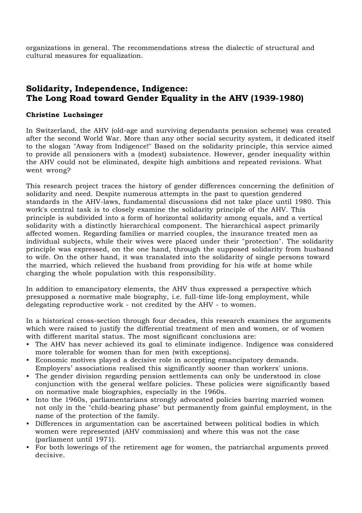organizations in general. The recommendations stress the dialectic of structural and cultural measures for equalization.

# **Solidarity, Independence, Indigence: The Long Road toward Gender Equality in the AHV (1939-1980)**

#### **Christine Luchsinger**

In Switzerland, the AHV (old-age and surviving dependants pension scheme) was created after the second World War. More than any other social security system, it dedicated itself to the slogan "Away from Indigence!" Based on the solidarity principle, this service aimed to provide all pensioners with a (modest) subsistence. However, gender inequality within the AHV could not be eliminated, despite high ambitions and repeated revisions. What went wrong?

This research project traces the history of gender differences concerning the definition of solidarity and need. Despite numerous attempts in the past to question gendered standards in the AHV-laws, fundamental discussions did not take place until 1980. This work's central task is to closely examine the solidarity principle of the AHV. This principle is subdivided into a form of horizontal solidarity among equals, and a vertical solidarity with a distinctly hierarchical component. The hierarchical aspect primarily affected women. Regarding families or married couples, the insurance treated men as individual subjects, while their wives were placed under their "protection". The solidarity principle was expressed, on the one hand, through the supposed solidarity from husband to wife. On the other hand, it was translated into the solidarity of single persons toward the married, which relieved the husband from providing for his wife at home while charging the whole population with this responsibility.

In addition to emancipatory elements, the AHV thus expressed a perspective which presupposed a normative male biography, i.e. full-time life-long employment, while delegating reproductive work - not credited by the AHV - to women.

In a historical cross-section through four decades, this research examines the arguments which were raised to justify the differential treatment of men and women, or of women with different marital status. The most significant conclusions are:

- The AHV has never achieved its goal to eliminate indigence. Indigence was considered more tolerable for women than for men (with exceptions).
- Economic motives played a decisive role in accepting emancipatory demands. Employers' associations realised this significantly sooner than workers' unions.
- The gender division regarding pension settlements can only be understood in close conjunction with the general welfare policies. These policies were significantly based on normative male biographies, especially in the 1960s.
- Into the 1960s, parliamentarians strongly advocated policies barring married women not only in the "child-bearing phase" but permanently from gainful employment, in the name of the protection of the family.
- Differences in argumentation can be ascertained between political bodies in which women were represented (AHV commission) and where this was not the case (parliament until 1971).
- For both lowerings of the retirement age for women, the patriarchal arguments proved decisive.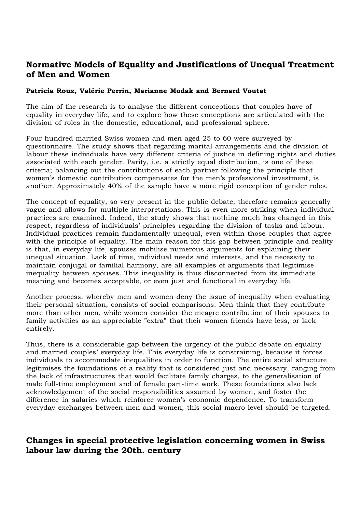### **Normative Models of Equality and Justifications of Unequal Treatment of Men and Women**

#### **Patricia Roux, Valérie Perrin, Marianne Modak and Bernard Voutat**

The aim of the research is to analyse the different conceptions that couples have of equality in everyday life, and to explore how these conceptions are articulated with the division of roles in the domestic, educational, and professional sphere.

Four hundred married Swiss women and men aged 25 to 60 were surveyed by questionnaire. The study shows that regarding marital arrangements and the division of labour these individuals have very different criteria of justice in defining rights and duties associated with each gender. Parity, i.e. a strictly equal distribution, is one of these criteria; balancing out the contributions of each partner following the principle that women's domestic contribution compensates for the men's professional investment, is another. Approximately 40% of the sample have a more rigid conception of gender roles.

The concept of equality, so very present in the public debate, therefore remains generally vague and allows for multiple interpretations. This is even more striking when individual practices are examined. Indeed, the study shows that nothing much has changed in this respect, regardless of individuals' principles regarding the division of tasks and labour. Individual practices remain fundamentally unequal, even within those couples that agree with the principle of equality. The main reason for this gap between principle and reality is that, in everyday life, spouses mobilise numerous arguments for explaining their unequal situation. Lack of time, individual needs and interests, and the necessity to maintain conjugal or familial harmony, are all examples of arguments that legitimise inequality between spouses. This inequality is thus disconnected from its immediate meaning and becomes acceptable, or even just and functional in everyday life.

Another process, whereby men and women deny the issue of inequality when evaluating their personal situation, consists of social comparisons: Men think that they contribute more than other men, while women consider the meagre contribution of their spouses to family activities as an appreciable "extra" that their women friends have less, or lack entirely.

Thus, there is a considerable gap between the urgency of the public debate on equality and married couples' everyday life. This everyday life is constraining, because it forces individuals to accommodate inequalities in order to function. The entire social structure legitimises the foundations of a reality that is considered just and necessary, ranging from the lack of infrastructures that would facilitate family charges, to the generalisation of male full-time employment and of female part-time work. These foundations also lack acknowledgement of the social responsibilities assumed by women, and foster the difference in salaries which reinforce women's economic dependence. To transform everyday exchanges between men and women, this social macro-level should be targeted.

### **Changes in special protective legislation concerning women in Swiss labour law during the 20th. century**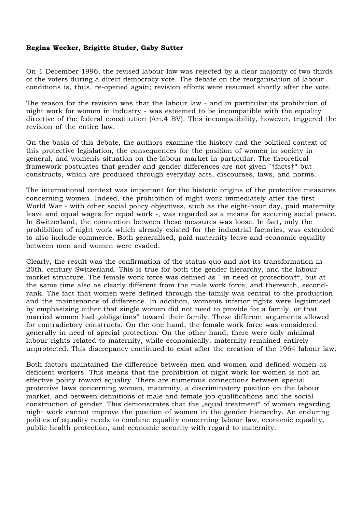#### **Regina Wecker, Brigitte Studer, Gaby Sutter**

On 1 December 1996, the revised labour law was rejected by a clear majority of two thirds of the voters during a direct democracy vote. The debate on the reorganisation of labour conditions is, thus, re-opened again; revision efforts were resumed shortly after the vote.

The reason for the revision was that the labour law - and in particular its prohibition of night work for women in industry - was esteemed to be incompatible with the equality directive of the federal constitution (Art.4 BV). This incompatibility, however, triggered the revision of the entire law.

On the basis of this debate, the authors examine the history and the political context of this protective legislation, the consequences for the position of women in society in general, and womenís situation on the labour market in particular. The theoretical framework postulates that gender and gender differences are not given ´†facts†ª but constructs, which are produced through everyday acts, discourses, laws, and norms.

The international context was important for the historic origins of the protective measures concerning women. Indeed, the prohibition of night work immediately after the first World War - with other social policy objectives, such as the eight-hour day, paid maternity leave and equal wages for equal work -, was regarded as a means for securing social peace. In Switzerland, the connection between these measures was loose. In fact, only the prohibition of night work which already existed for the industrial factories, was extended to also include commerce. Both generalised, paid maternity leave and economic equality between men and women were evaded.

Clearly, the result was the confirmation of the status quo and not its transformation in 20th. century Switzerland. This is true for both the gender hierarchy, and the labour market structure. The female work force was defined as ´ in need of protection†ª, but at the same time also as clearly different from the male work force, and therewith, secondrank. The fact that women were defined through the family was central to the production and the maintenance of difference. In addition, womenís inferior rights were legitimised by emphasising either that single women did not need to provide for a family, or that married women had "obligations" toward their family. These different arguments allowed for contradictory constructs. On the one hand, the female work force was considered generally in need of special protection. On the other hand, there were only minimal labour rights related to maternity, while economically, maternity remained entirely unprotected. This discrepancy continued to exist after the creation of the 1964 labour law.

Both factors maintained the difference between men and women and defined women as deficient workers. This means that the prohibition of night work for women is not an effective policy toward equality. There are numerous connections between special protective laws concerning women, maternity, a discriminatory position on the labour market, and between definitions of male and female job qualifications and the social construction of gender. This demonstrates that the "equal treatment" of women regarding night work cannot improve the position of women in the gender hierarchy. An enduring politics of equality needs to combine equality concerning labour law, economic equality, public health protection, and economic security with regard to maternity.